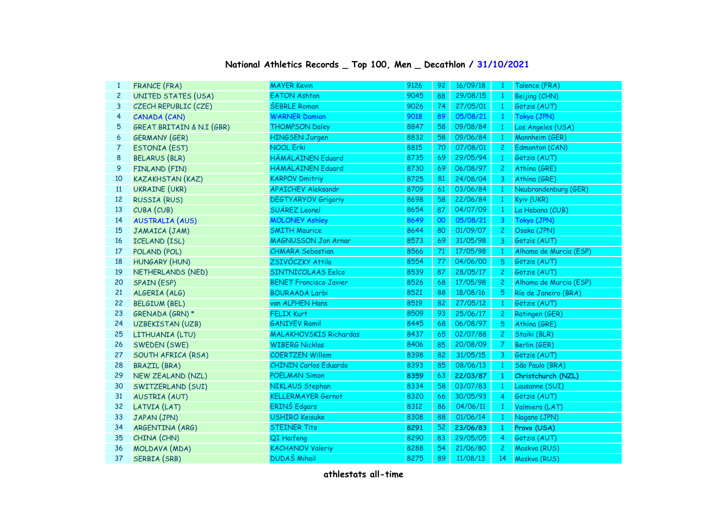## **National Athletics Records \_ Top 100, Men \_ Decathlon / 31/10/2021**

| $\mathbf{1}$            | <b>FRANCE (FRA)</b>                  | <b>MAYER Kevin</b>            | 9126 | 92 | 16/09/18 | -1             | Talence (FRA)          |
|-------------------------|--------------------------------------|-------------------------------|------|----|----------|----------------|------------------------|
| $\overline{c}$          | <b>UNITED STATES (USA)</b>           | <b>EATON Ashton</b>           | 9045 | 88 | 29/08/15 | $\mathbf{1}$   | Beijing (CHN)          |
| 3                       | CZECH REPUBLIC (CZE)                 | <b>ŠEBRLE Roman</b>           | 9026 | 74 | 27/05/01 | $\mathbf{1}$   | Götzis (AUT)           |
| $\overline{\mathbf{4}}$ | CANADA (CAN)                         | <b>WARNER Damian</b>          | 9018 | 89 | 05/08/21 | $\mathbf{1}$   | Tokyo (JPN)            |
| 5                       | <b>GREAT BRITAIN &amp; N.I (GBR)</b> | <b>THOMPSON Daley</b>         | 8847 | 58 | 09/08/84 | $\mathbf{1}$   | Los Angeles (USA)      |
| 6                       | <b>GERMANY (GER)</b>                 | <b>HINGSEN Jurgen</b>         | 8832 | 58 | 09/06/84 | $\mathbf{1}$   | Mannheim (GER)         |
| $\overline{7}$          | <b>ESTONIA (EST)</b>                 | <b>NOOL Erki</b>              | 8815 | 70 | 07/08/01 | $\overline{c}$ | Edmonton (CAN)         |
| 8                       | <b>BELARUS (BLR)</b>                 | HÄMÄLÄINEN Eduard             | 8735 | 69 | 29/05/94 | 1              | Götzis (AUT)           |
| 9                       | FINLAND (FIN)                        | HÄMÄLÄINEN Eduard             | 8730 | 69 | 06/08/97 | 2              | Athína (GRE)           |
| 10                      | <b>KAZAKHSTAN (KAZ)</b>              | <b>KARPOV Dmitriy</b>         | 8725 | 81 | 24/08/04 | 3              | Athína (GRE)           |
| 11                      | <b>UKRAINE</b> (UKR)                 | <b>APAICHEV Aleksandr</b>     | 8709 | 61 | 03/06/84 | $\mathbf{1}$   | Neubrandenburg (GER)   |
| 12                      | <b>RUSSIA (RUS)</b>                  | <b>DEGTYARYOV Grigoriy</b>    | 8698 | 58 | 22/06/84 | $\mathbf{1}$   | Kyiv (UKR)             |
| 13                      | CUBA (CUB)                           | SUÁREZ Leonel                 | 8654 | 87 | 04/07/09 | $\mathbf{1}$   | La Habana (CUB)        |
| 14                      | <b>AUSTRALIA (AUS)</b>               | <b>MOLONEY Ashley</b>         | 8649 | 00 | 05/08/21 | 3              | Tokyo (JPN)            |
| 15                      | JAMAICA (JAM)                        | <b>SMITH Maurice</b>          | 8644 | 80 | 01/09/07 | $\overline{c}$ | Osaka (JPN)            |
| 16                      | ICELAND (ISL)                        | <b>MAGNUSSON Jon Arnar</b>    | 8573 | 69 | 31/05/98 | 3              | Götzis (AUT)           |
| 17                      | POLAND (POL)                         | <b>CHMARA Sebastian</b>       | 8566 | 71 | 17/05/98 | 1              | Alhama de Murcia (ESP) |
| 18                      | <b>HUNGARY (HUN)</b>                 | ZSIVÓCZKY Attila              | 8554 | 77 | 04/06/00 | 5              | Götzis (AUT)           |
| 19                      | NETHERLANDS (NED)                    | SINTNICOLAAS Eelco            | 8539 | 87 | 28/05/17 | $\overline{c}$ | Götzis (AUT)           |
| 20                      | SPAIN (ESP)                          | <b>BENET Francisco Javier</b> | 8526 | 68 | 17/05/98 | $\overline{c}$ | Alhama de Murcia (ESP) |
| 21                      | ALGERIA (ALG)                        | <b>BOURAADA Larbi</b>         | 8521 | 88 | 18/08/16 | 5              | Río de Janeiro (BRA)   |
| 22                      | <b>BELGIUM (BEL)</b>                 | van ALPHEN Hans               | 8519 | 82 | 27/05/12 | $\mathbf{1}$   | Götzis (AUT)           |
| 23                      | GRENADA (GRN) *                      | <b>FELIX Kurt</b>             | 8509 | 93 | 25/06/17 | $\mathbf{2}$   | Ratingen (GER)         |
| 24                      | <b>UZBEKISTAN (UZB)</b>              | <b>GANIYEV Ramil</b>          | 8445 | 68 | 06/08/97 | 5              | Athína (GRE)           |
| 25                      | LITHUANIA (LTU)                      | <b>MALAKHOVSKIS Richardas</b> | 8437 | 65 | 02/07/88 | $\mathbf{2}$   | Staiki (BLR)           |
| 26                      | SWEDEN (SWE)                         | <b>WIBERG Nicklas</b>         | 8406 | 85 | 20/08/09 | $\overline{7}$ | Berlin (GER)           |
| 27                      | SOUTH AFRICA (RSA)                   | <b>COERTZEN Willem</b>        | 8398 | 82 | 31/05/15 | 3              | Götzis (AUT)           |
| 28                      | <b>BRAZIL (BRA)</b>                  | <b>CHININ Carlos Eduardo</b>  | 8393 | 85 | 08/06/13 | $\mathbf{1}$   | São Paulo (BRA)        |
| 29                      | NEW ZEALAND (NZL)                    | <b>POELMAN Simon</b>          | 8359 | 63 | 22/03/87 | -1             | Christchurch (NZL)     |
| 30                      | SWITZERLAND (SUI)                    | NIKLAUS Stephan               | 8334 | 58 | 03/07/83 | $\mathbf{1}$   | Lausanne (SUI)         |
| 31                      | <b>AUSTRIA (AUT)</b>                 | <b>KELLERMAYER Gernot</b>     | 8320 | 66 | 30/05/93 | 4              | Götzis (AUT)           |
| 32                      | LATVIA (LAT)                         | ERINŠ Edgars                  | 8312 | 86 | 04/06/11 | $\mathbf{1}$   | Valmiera (LAT)         |
| 33                      | JAPAN (JPN)                          | <b>USHIRO Keisuke</b>         | 8308 | 88 | 01/06/14 | $\mathbf{1}$   | Nagano (JPN)           |
| 34                      | ARGENTINA (ARG)                      | <b>STEINER Tito</b>           | 8291 | 52 | 23/06/83 | $\mathbf{1}$   | Provo (USA)            |
| 35                      | CHINA (CHN)                          | QI Haifeng                    | 8290 | 83 | 29/05/05 | $\overline{4}$ | Götzis (AUT)           |
| 36                      | MOLDAVA (MDA)                        | <b>KACHANOV Valeriy</b>       | 8288 | 54 | 21/06/80 | $\mathbf{2}$   | Moskva (RUS)           |
| 37                      | SERBIA (SRB)                         | <b>DUDAŠ Mihail</b>           | 8275 | 89 | 11/08/13 | 14             | Moskva (RUS)           |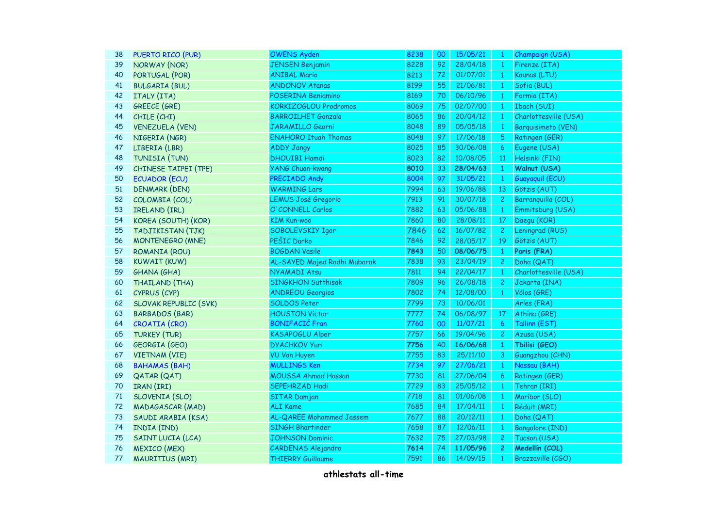| PUERTO RICO (PUR)            | <b>OWENS Ayden</b>           | 8238                                                                                                                                 | 00 | 15/05/21 | $\mathbf{1}$   | Champaign (USA)        |
|------------------------------|------------------------------|--------------------------------------------------------------------------------------------------------------------------------------|----|----------|----------------|------------------------|
| <b>NORWAY (NOR)</b>          | <b>JENSEN Benjamin</b>       | 8228                                                                                                                                 | 92 | 28/04/18 | $\mathbf{1}$   | Firenze (ITA)          |
| PORTUGAL (POR)               | <b>ANIBAL Mario</b>          | 8213                                                                                                                                 | 72 | 01/07/01 | $\mathbf{1}$   | Kaunas (LTU)           |
| <b>BULGARIA (BUL)</b>        | <b>ANDONOV Atanas</b>        | 8199                                                                                                                                 | 55 | 21/06/81 | $\mathbf{1}$   | Sofia (BUL)            |
| ITALY (ITA)                  | POSERINA Beniamino           | 8169                                                                                                                                 | 70 | 06/10/96 | $\mathbf{1}$   | Formia (ITA)           |
| <b>GREECE (GRE)</b>          | KORKIZOGLOU Prodromos        | 8069                                                                                                                                 | 75 | 02/07/00 | $\mathbf{1}$   | Ibach (SUI)            |
| CHILE (CHI)                  | <b>BARROILHET Gonzalo</b>    | 8065                                                                                                                                 | 86 | 20/04/12 | $\mathbf{1}$   | Charlottesville (USA)  |
| <b>VENEZUELA (VEN)</b>       | JARAMILLO Georni             | 8048                                                                                                                                 | 89 | 05/05/18 | $\mathbf{1}$   | Barquisimeto (VEN)     |
| NIGERIA (NGR)                | <b>ENAHORO Ituah Thomas</b>  | 8048                                                                                                                                 | 97 | 17/06/18 | $\overline{5}$ | Ratingen (GER)         |
| LIBERIA (LBR)                | <b>ADDY Jangy</b>            | 8025                                                                                                                                 | 85 | 30/06/08 | 6              | Eugene (USA)           |
| TUNISIA (TUN)                | <b>DHOUIBI Hamdi</b>         | 8023                                                                                                                                 | 82 | 10/08/05 | 11             | Helsinki (FIN)         |
| CHINESE TAIPEI (TPE)         | <b>YANG Chuan-kwang</b>      | 8010                                                                                                                                 | 33 | 28/04/63 | 1              | Walnut (USA)           |
| <b>ECUADOR (ECU)</b>         | PRECIADO Andy                | 8004                                                                                                                                 | 97 | 31/05/21 | $\mathbf{1}$   | Guayaquil (ECU)        |
| <b>DENMARK (DEN)</b>         | <b>WARMING Lars</b>          | 7994                                                                                                                                 | 63 | 19/06/88 | 13             | Götzis (AUT)           |
| COLOMBIA (COL)               | <b>LEMUS José Gregorio</b>   | 7913                                                                                                                                 | 91 | 30/07/18 | $\mathbf{2}$   | Barranquilla (COL)     |
| IRELAND (IRL)                |                              | 7882                                                                                                                                 | 63 | 05/06/88 | $\mathbf{1}$   | Emmitsburg (USA)       |
| KOREA (SOUTH) (KOR)          | <b>KIM Kun-woo</b>           | 7860                                                                                                                                 | 80 | 28/08/11 | 17             | Daegu (KOR)            |
| TADJIKISTAN (TJK)            | SOBOLEVSKIY Igor             | 7846                                                                                                                                 | 62 | 16/07/82 | 2 <sup>1</sup> | Leningrad (RUS)        |
| <b>MONTENEGRO (MNE)</b>      |                              | 7846                                                                                                                                 | 92 | 28/05/17 | 19             | Götzis (AUT)           |
| ROMANIA (ROU)                | <b>BOGDAN Vasile</b>         | 7843                                                                                                                                 | 50 | 08/06/75 | $\mathbf{1}$   | Paris (FRA)            |
| <b>KUWAIT (KUW)</b>          | AL-SAYED Majed Radhi Mubarak | 7838                                                                                                                                 | 93 | 23/04/19 | $\overline{c}$ | Doha (QAT)             |
| <b>GHANA (GHA)</b>           | <b>NYAMADI Atsu</b>          | 7811                                                                                                                                 | 94 | 22/04/17 | $\mathbf{1}$   | Charlottesville (USA)  |
| THAILAND (THA)               | <b>SINGKHON Sutthisak</b>    | 7809                                                                                                                                 | 96 | 26/08/18 | $\overline{2}$ | Jakarta (INA)          |
| CYPRUS (CYP)                 | <b>ANDREOU Georgios</b>      | 7802                                                                                                                                 | 74 | 12/08/00 | $\mathbf{1}$   | Vólos (GRE)            |
| <b>SLOVAK REPUBLIC (SVK)</b> | <b>SOLDOS Peter</b>          | 7799                                                                                                                                 | 73 | 10/06/01 |                | Arles (FRA)            |
| <b>BARBADOS (BAR)</b>        |                              | 7777                                                                                                                                 | 74 | 06/08/97 | 17             | Athína (GRE)           |
| CROATIA (CRO)                | <b>BONIFACIĆ Fran</b>        | 7760                                                                                                                                 | 00 | 11/07/21 | $\overline{6}$ | Tallinn (EST)          |
| <b>TURKEY (TUR)</b>          | <b>KASAPOGLU Alper</b>       | 7757                                                                                                                                 | 66 | 19/04/96 | $\overline{c}$ | Azusa (USA)            |
| <b>GEORGIA (GEO)</b>         | <b>DYACHKOV Yuri</b>         | 7756                                                                                                                                 | 40 | 16/06/68 | 1              | Tbilisi (GEO)          |
| <b>VIETNAM (VIE)</b>         |                              | 7755                                                                                                                                 | 83 | 25/11/10 | 3              | Guangzhou (CHN)        |
| <b>BAHAMAS (BAH)</b>         |                              | 7734                                                                                                                                 | 97 | 27/06/21 | $\mathbf{1}$   | Nassau (BAH)           |
| <b>QATAR (QAT)</b>           |                              | 7730                                                                                                                                 | 81 | 27/06/04 | 6              | Ratingen (GER)         |
| IRAN (IRI)                   | <b>SEPEHRZAD Hadi</b>        | 7729                                                                                                                                 | 83 | 25/05/12 | $\mathbf{1}$   | Tehran (IRI)           |
| SLOVENIA (SLO)               | <b>SITAR Damjan</b>          | 7718                                                                                                                                 | 81 | 01/06/08 | $\mathbf{1}$   | Maribor (SLO)          |
| MADAGASCAR (MAD)             | <b>ALI Kame</b>              | 7685                                                                                                                                 | 84 | 17/04/11 | $\mathbf{1}$   | Réduit (MRI)           |
| SAUDI ARABIA (KSA)           | AL-QAREE Mohammed Jassem     | 7677                                                                                                                                 | 88 | 20/12/11 | $\mathbf{1}$   | Doha (QAT)             |
| INDIA (IND)                  | <b>SINGH Bhartinder</b>      | 7658                                                                                                                                 | 87 | 12/06/11 | $\mathbf{1}$   | <b>Bangalore (IND)</b> |
| SAINT LUCIA (LCA)            | <b>JOHNSON Dominic</b>       | 7632                                                                                                                                 | 75 | 27/03/98 | $\overline{c}$ | Tucson (USA)           |
| <b>MEXICO</b> (MEX)          | <b>CARDENAS Alejandro</b>    | 7614                                                                                                                                 | 74 | 11/05/96 | $\mathbf{2}$   | Medellín (COL)         |
| MAURITIUS (MRI)              | <b>THIERRY Guillaume</b>     | 7591                                                                                                                                 | 86 | 14/09/15 | $\mathbf{1}$   | Brazzaville (CGO)      |
|                              |                              | O'CONNELL Carlos<br>PEŠIC Darko<br><b>HOUSTON Victor</b><br><b>VU Van Huyen</b><br><b>MULLINGS Ken</b><br><b>MOUSSA Ahmad Hassan</b> |    |          |                |                        |